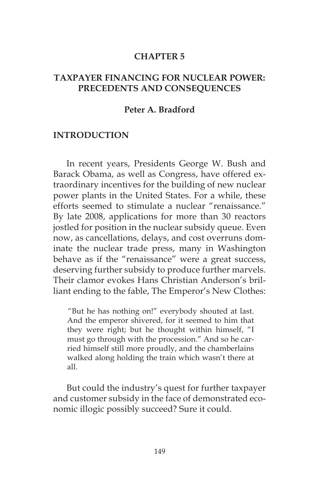#### **CHAPTER 5**

### **TAXPAYER FINANCING FOR NUCLEAR POWER: PRECEDENTS AND CONSEQUENCES**

#### **Peter A. Bradford**

#### **INTRODUCTION**

In recent years, Presidents George W. Bush and Barack Obama, as well as Congress, have offered extraordinary incentives for the building of new nuclear power plants in the United States. For a while, these efforts seemed to stimulate a nuclear "renaissance." By late 2008, applications for more than 30 reactors jostled for position in the nuclear subsidy queue. Even now, as cancellations, delays, and cost overruns dominate the nuclear trade press, many in Washington behave as if the "renaissance" were a great success, deserving further subsidy to produce further marvels. Their clamor evokes Hans Christian Anderson's brilliant ending to the fable, The Emperor's New Clothes:

"But he has nothing on!" everybody shouted at last. And the emperor shivered, for it seemed to him that they were right; but he thought within himself, "I must go through with the procession." And so he carried himself still more proudly, and the chamberlains walked along holding the train which wasn't there at all.

But could the industry's quest for further taxpayer and customer subsidy in the face of demonstrated economic illogic possibly succeed? Sure it could.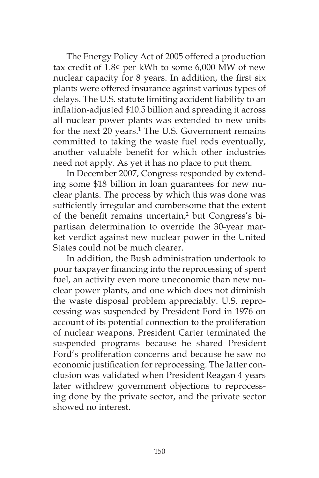The Energy Policy Act of 2005 offered a production tax credit of 1.8¢ per kWh to some 6,000 MW of new nuclear capacity for 8 years. In addition, the first six plants were offered insurance against various types of delays. The U.S. statute limiting accident liability to an inflation-adjusted \$10.5 billion and spreading it across all nuclear power plants was extended to new units for the next 20 years.<sup>1</sup> The U.S. Government remains committed to taking the waste fuel rods eventually, another valuable benefit for which other industries need not apply. As yet it has no place to put them.

In December 2007, Congress responded by extending some \$18 billion in loan guarantees for new nuclear plants. The process by which this was done was sufficiently irregular and cumbersome that the extent of the benefit remains uncertain,<sup>2</sup> but Congress's bipartisan determination to override the 30-year market verdict against new nuclear power in the United States could not be much clearer.

In addition, the Bush administration undertook to pour taxpayer financing into the reprocessing of spent fuel, an activity even more uneconomic than new nuclear power plants, and one which does not diminish the waste disposal problem appreciably. U.S. reprocessing was suspended by President Ford in 1976 on account of its potential connection to the proliferation of nuclear weapons. President Carter terminated the suspended programs because he shared President Ford's proliferation concerns and because he saw no economic justification for reprocessing. The latter conclusion was validated when President Reagan 4 years later withdrew government objections to reprocessing done by the private sector, and the private sector showed no interest.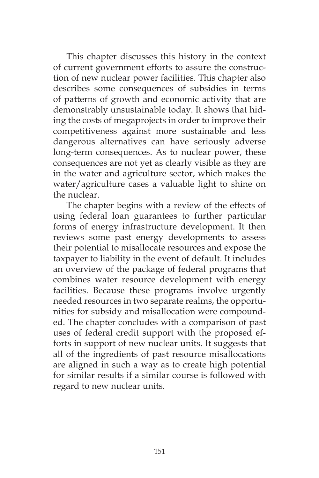This chapter discusses this history in the context of current government efforts to assure the construction of new nuclear power facilities. This chapter also describes some consequences of subsidies in terms of patterns of growth and economic activity that are demonstrably unsustainable today. It shows that hiding the costs of megaprojects in order to improve their competitiveness against more sustainable and less dangerous alternatives can have seriously adverse long-term consequences. As to nuclear power, these consequences are not yet as clearly visible as they are in the water and agriculture sector, which makes the water/agriculture cases a valuable light to shine on the nuclear.

The chapter begins with a review of the effects of using federal loan guarantees to further particular forms of energy infrastructure development. It then reviews some past energy developments to assess their potential to misallocate resources and expose the taxpayer to liability in the event of default. It includes an overview of the package of federal programs that combines water resource development with energy facilities. Because these programs involve urgently needed resources in two separate realms, the opportunities for subsidy and misallocation were compounded. The chapter concludes with a comparison of past uses of federal credit support with the proposed efforts in support of new nuclear units. It suggests that all of the ingredients of past resource misallocations are aligned in such a way as to create high potential for similar results if a similar course is followed with regard to new nuclear units.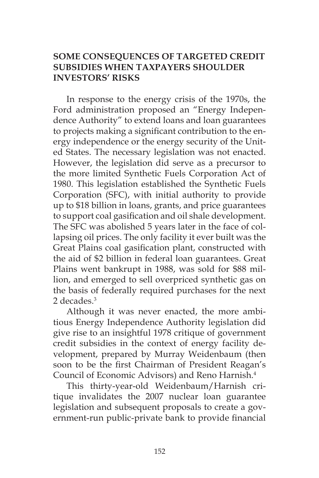# **SOME CONSEQUENCES OF TARGETED CREDIT SUBSIDIES WHEN TAXPAYERS SHOULDER INVESTORS' RISKS**

In response to the energy crisis of the 1970s, the Ford administration proposed an "Energy Independence Authority" to extend loans and loan guarantees to projects making a significant contribution to the energy independence or the energy security of the United States. The necessary legislation was not enacted. However, the legislation did serve as a precursor to the more limited Synthetic Fuels Corporation Act of 1980. This legislation established the Synthetic Fuels Corporation (SFC), with initial authority to provide up to \$18 billion in loans, grants, and price guarantees to support coal gasification and oil shale development. The SFC was abolished 5 years later in the face of collapsing oil prices. The only facility it ever built was the Great Plains coal gasification plant, constructed with the aid of \$2 billion in federal loan guarantees. Great Plains went bankrupt in 1988, was sold for \$88 million, and emerged to sell overpriced synthetic gas on the basis of federally required purchases for the next 2 decades.3

Although it was never enacted, the more ambitious Energy Independence Authority legislation did give rise to an insightful 1978 critique of government credit subsidies in the context of energy facility development, prepared by Murray Weidenbaum (then soon to be the first Chairman of President Reagan's Council of Economic Advisors) and Reno Harnish.4

This thirty-year-old Weidenbaum/Harnish critique invalidates the 2007 nuclear loan guarantee legislation and subsequent proposals to create a government-run public-private bank to provide financial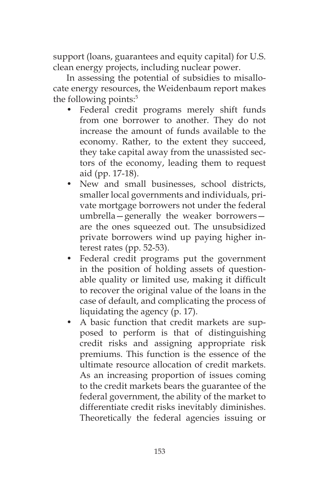support (loans, guarantees and equity capital) for U.S. clean energy projects, including nuclear power.

In assessing the potential of subsidies to misallocate energy resources, the Weidenbaum report makes the following points: $5$ 

- Federal credit programs merely shift funds from one borrower to another. They do not increase the amount of funds available to the economy. Rather, to the extent they succeed, they take capital away from the unassisted sectors of the economy, leading them to request aid (pp. 17-18).
- New and small businesses, school districts, smaller local governments and individuals, private mortgage borrowers not under the federal umbrella—generally the weaker borrowers are the ones squeezed out. The unsubsidized private borrowers wind up paying higher interest rates (pp. 52-53).
- Federal credit programs put the government in the position of holding assets of questionable quality or limited use, making it difficult to recover the original value of the loans in the case of default, and complicating the process of liquidating the agency (p. 17).
- A basic function that credit markets are supposed to perform is that of distinguishing credit risks and assigning appropriate risk premiums. This function is the essence of the ultimate resource allocation of credit markets. As an increasing proportion of issues coming to the credit markets bears the guarantee of the federal government, the ability of the market to differentiate credit risks inevitably diminishes. Theoretically the federal agencies issuing or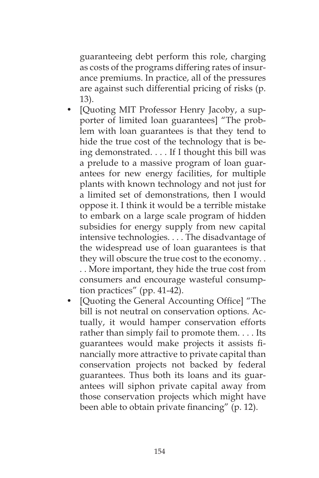guaranteeing debt perform this role, charging as costs of the programs differing rates of insurance premiums. In practice, all of the pressures are against such differential pricing of risks (p. 13).

- [Quoting MIT Professor Henry Jacoby, a supporter of limited loan guarantees] "The problem with loan guarantees is that they tend to hide the true cost of the technology that is being demonstrated. . . . If I thought this bill was a prelude to a massive program of loan guarantees for new energy facilities, for multiple plants with known technology and not just for a limited set of demonstrations, then I would oppose it. I think it would be a terrible mistake to embark on a large scale program of hidden subsidies for energy supply from new capital intensive technologies. . . . The disadvantage of the widespread use of loan guarantees is that they will obscure the true cost to the economy. . . . More important, they hide the true cost from consumers and encourage wasteful consumption practices" (pp. 41-42).
- [Quoting the General Accounting Office] "The bill is not neutral on conservation options. Actually, it would hamper conservation efforts rather than simply fail to promote them. . . . Its guarantees would make projects it assists financially more attractive to private capital than conservation projects not backed by federal guarantees. Thus both its loans and its guarantees will siphon private capital away from those conservation projects which might have been able to obtain private financing" (p. 12).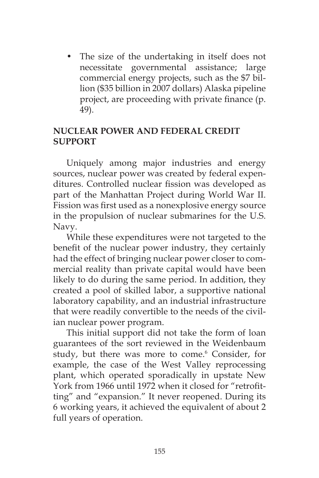• The size of the undertaking in itself does not necessitate governmental assistance; large commercial energy projects, such as the \$7 billion (\$35 billion in 2007 dollars) Alaska pipeline project, are proceeding with private finance (p. 49).

## **NUCLEAR POWER AND FEDERAL CREDIT SUPPORT**

Uniquely among major industries and energy sources, nuclear power was created by federal expenditures. Controlled nuclear fission was developed as part of the Manhattan Project during World War II. Fission was first used as a nonexplosive energy source in the propulsion of nuclear submarines for the U.S. Navy.

While these expenditures were not targeted to the benefit of the nuclear power industry, they certainly had the effect of bringing nuclear power closer to commercial reality than private capital would have been likely to do during the same period. In addition, they created a pool of skilled labor, a supportive national laboratory capability, and an industrial infrastructure that were readily convertible to the needs of the civilian nuclear power program.

This initial support did not take the form of loan guarantees of the sort reviewed in the Weidenbaum study, but there was more to come.<sup>6</sup> Consider, for example, the case of the West Valley reprocessing plant, which operated sporadically in upstate New York from 1966 until 1972 when it closed for "retrofitting" and "expansion." It never reopened. During its 6 working years, it achieved the equivalent of about 2 full years of operation.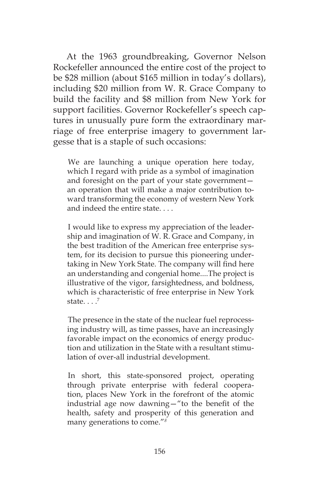At the 1963 groundbreaking, Governor Nelson Rockefeller announced the entire cost of the project to be \$28 million (about \$165 million in today's dollars), including \$20 million from W. R. Grace Company to build the facility and \$8 million from New York for support facilities. Governor Rockefeller's speech captures in unusually pure form the extraordinary marriage of free enterprise imagery to government largesse that is a staple of such occasions:

We are launching a unique operation here today, which I regard with pride as a symbol of imagination and foresight on the part of your state government an operation that will make a major contribution toward transforming the economy of western New York and indeed the entire state. . . .

I would like to express my appreciation of the leadership and imagination of W. R. Grace and Company, in the best tradition of the American free enterprise system, for its decision to pursue this pioneering undertaking in New York State. The company will find here an understanding and congenial home....The project is illustrative of the vigor, farsightedness, and boldness, which is characteristic of free enterprise in New York state.  $\ldots$ <sup>7</sup>

The presence in the state of the nuclear fuel reprocessing industry will, as time passes, have an increasingly favorable impact on the economics of energy production and utilization in the State with a resultant stimulation of over-all industrial development.

In short, this state-sponsored project, operating through private enterprise with federal cooperation, places New York in the forefront of the atomic industrial age now dawning—"to the benefit of the health, safety and prosperity of this generation and many generations to come."*8*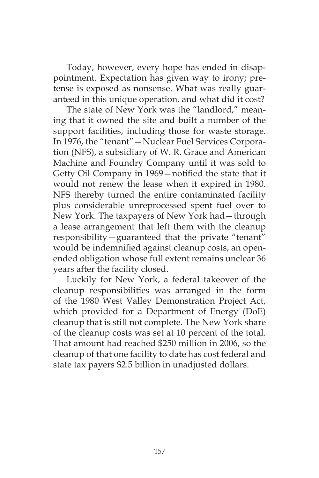Today, however, every hope has ended in disappointment. Expectation has given way to irony; pretense is exposed as nonsense. What was really guaranteed in this unique operation, and what did it cost?

The state of New York was the "landlord," meaning that it owned the site and built a number of the support facilities, including those for waste storage. In 1976, the "tenant"—Nuclear Fuel Services Corporation (NFS), a subsidiary of W. R. Grace and American Machine and Foundry Company until it was sold to Getty Oil Company in 1969—notified the state that it would not renew the lease when it expired in 1980. NFS thereby turned the entire contaminated facility plus considerable unreprocessed spent fuel over to New York. The taxpayers of New York had—through a lease arrangement that left them with the cleanup responsibility—guaranteed that the private "tenant" would be indemnified against cleanup costs, an openended obligation whose full extent remains unclear 36 years after the facility closed.

Luckily for New York, a federal takeover of the cleanup responsibilities was arranged in the form of the 1980 West Valley Demonstration Project Act, which provided for a Department of Energy (DoE) cleanup that is still not complete. The New York share of the cleanup costs was set at 10 percent of the total. That amount had reached \$250 million in 2006, so the cleanup of that one facility to date has cost federal and state tax payers \$2.5 billion in unadjusted dollars.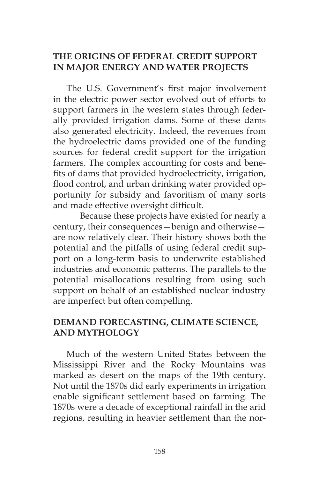# **THE ORIGINS OF FEDERAL CREDIT SUPPORT IN MAJOR ENERGY AND WATER PROJECTS**

The U.S. Government's first major involvement in the electric power sector evolved out of efforts to support farmers in the western states through federally provided irrigation dams. Some of these dams also generated electricity. Indeed, the revenues from the hydroelectric dams provided one of the funding sources for federal credit support for the irrigation farmers. The complex accounting for costs and benefits of dams that provided hydroelectricity, irrigation, flood control, and urban drinking water provided opportunity for subsidy and favoritism of many sorts and made effective oversight difficult.

Because these projects have existed for nearly a century, their consequences—benign and otherwise are now relatively clear. Their history shows both the potential and the pitfalls of using federal credit support on a long-term basis to underwrite established industries and economic patterns. The parallels to the potential misallocations resulting from using such support on behalf of an established nuclear industry are imperfect but often compelling.

# **DEMAND FORECASTING, CLIMATE SCIENCE, AND MYTHOLOGY**

Much of the western United States between the Mississippi River and the Rocky Mountains was marked as desert on the maps of the 19th century. Not until the 1870s did early experiments in irrigation enable significant settlement based on farming. The 1870s were a decade of exceptional rainfall in the arid regions, resulting in heavier settlement than the nor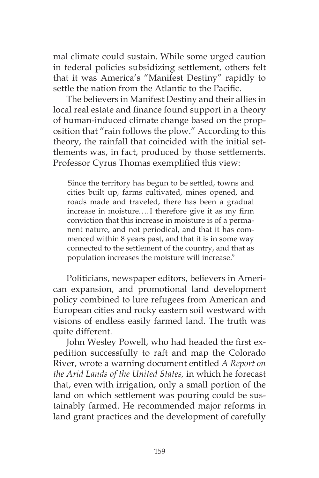mal climate could sustain. While some urged caution in federal policies subsidizing settlement, others felt that it was America's "Manifest Destiny" rapidly to settle the nation from the Atlantic to the Pacific.

The believers in Manifest Destiny and their allies in local real estate and finance found support in a theory of human-induced climate change based on the proposition that "rain follows the plow." According to this theory, the rainfall that coincided with the initial settlements was, in fact, produced by those settlements. Professor Cyrus Thomas exemplified this view:

Since the territory has begun to be settled, towns and cities built up, farms cultivated, mines opened, and roads made and traveled, there has been a gradual increase in moisture.…I therefore give it as my firm conviction that this increase in moisture is of a permanent nature, and not periodical, and that it has commenced within 8 years past, and that it is in some way connected to the settlement of the country, and that as population increases the moisture will increase.<sup>9</sup>

Politicians, newspaper editors, believers in American expansion, and promotional land development policy combined to lure refugees from American and European cities and rocky eastern soil westward with visions of endless easily farmed land. The truth was quite different.

John Wesley Powell, who had headed the first expedition successfully to raft and map the Colorado River, wrote a warning document entitled *A Report on the Arid Lands of the United States,* in which he forecast that, even with irrigation, only a small portion of the land on which settlement was pouring could be sustainably farmed. He recommended major reforms in land grant practices and the development of carefully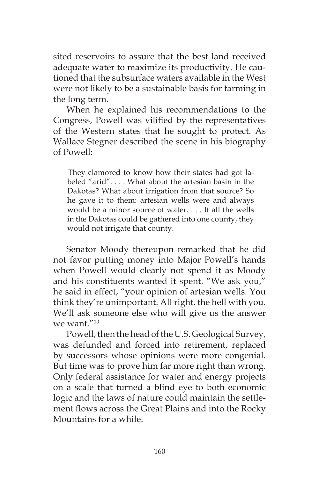sited reservoirs to assure that the best land received adequate water to maximize its productivity. He cautioned that the subsurface waters available in the West were not likely to be a sustainable basis for farming in the long term.

When he explained his recommendations to the Congress, Powell was vilified by the representatives of the Western states that he sought to protect. As Wallace Stegner described the scene in his biography of Powell:

They clamored to know how their states had got labeled "arid". . . . What about the artesian basin in the Dakotas? What about irrigation from that source? So he gave it to them: artesian wells were and always would be a minor source of water. . . . If all the wells in the Dakotas could be gathered into one county, they would not irrigate that county.

Senator Moody thereupon remarked that he did not favor putting money into Major Powell's hands when Powell would clearly not spend it as Moody and his constituents wanted it spent. "We ask you," he said in effect, "your opinion of artesian wells. You think they're unimportant. All right, the hell with you. We'll ask someone else who will give us the answer we want."<sup>10</sup>

Powell, then the head of the U.S. Geological Survey, was defunded and forced into retirement, replaced by successors whose opinions were more congenial. But time was to prove him far more right than wrong. Only federal assistance for water and energy projects on a scale that turned a blind eye to both economic logic and the laws of nature could maintain the settlement flows across the Great Plains and into the Rocky Mountains for a while.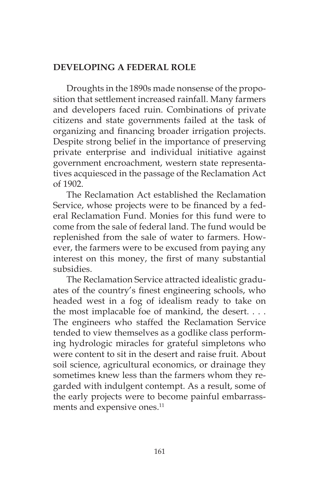# **DEVELOPING A FEDERAL ROLE**

Droughts in the 1890s made nonsense of the proposition that settlement increased rainfall. Many farmers and developers faced ruin. Combinations of private citizens and state governments failed at the task of organizing and financing broader irrigation projects. Despite strong belief in the importance of preserving private enterprise and individual initiative against government encroachment, western state representatives acquiesced in the passage of the Reclamation Act of 1902.

The Reclamation Act established the Reclamation Service, whose projects were to be financed by a federal Reclamation Fund. Monies for this fund were to come from the sale of federal land. The fund would be replenished from the sale of water to farmers. However, the farmers were to be excused from paying any interest on this money, the first of many substantial subsidies.

The Reclamation Service attracted idealistic graduates of the country's finest engineering schools, who headed west in a fog of idealism ready to take on the most implacable foe of mankind, the desert. . . . The engineers who staffed the Reclamation Service tended to view themselves as a godlike class performing hydrologic miracles for grateful simpletons who were content to sit in the desert and raise fruit. About soil science, agricultural economics, or drainage they sometimes knew less than the farmers whom they regarded with indulgent contempt. As a result, some of the early projects were to become painful embarrassments and expensive ones.<sup>11</sup>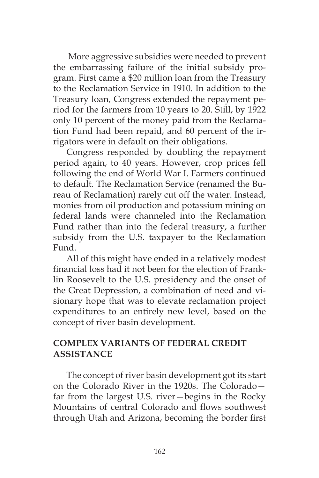More aggressive subsidies were needed to prevent the embarrassing failure of the initial subsidy program. First came a \$20 million loan from the Treasury to the Reclamation Service in 1910. In addition to the Treasury loan, Congress extended the repayment period for the farmers from 10 years to 20. Still, by 1922 only 10 percent of the money paid from the Reclamation Fund had been repaid, and 60 percent of the irrigators were in default on their obligations.

Congress responded by doubling the repayment period again, to 40 years. However, crop prices fell following the end of World War I. Farmers continued to default. The Reclamation Service (renamed the Bureau of Reclamation) rarely cut off the water. Instead, monies from oil production and potassium mining on federal lands were channeled into the Reclamation Fund rather than into the federal treasury, a further subsidy from the U.S. taxpayer to the Reclamation Fund.

All of this might have ended in a relatively modest financial loss had it not been for the election of Franklin Roosevelt to the U.S. presidency and the onset of the Great Depression, a combination of need and visionary hope that was to elevate reclamation project expenditures to an entirely new level, based on the concept of river basin development.

## **COMPLEX VARIANTS OF FEDERAL CREDIT ASSISTANCE**

The concept of river basin development got its start on the Colorado River in the 1920s. The Colorado far from the largest U.S. river—begins in the Rocky Mountains of central Colorado and flows southwest through Utah and Arizona, becoming the border first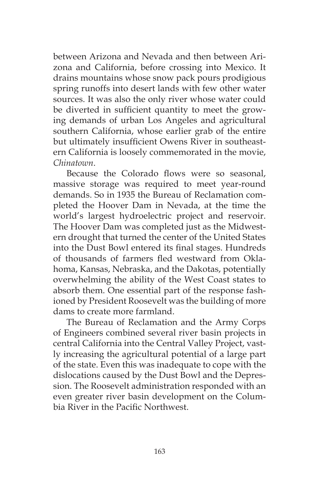between Arizona and Nevada and then between Arizona and California, before crossing into Mexico. It drains mountains whose snow pack pours prodigious spring runoffs into desert lands with few other water sources. It was also the only river whose water could be diverted in sufficient quantity to meet the growing demands of urban Los Angeles and agricultural southern California, whose earlier grab of the entire but ultimately insufficient Owens River in southeastern California is loosely commemorated in the movie, *Chinatown*.

Because the Colorado flows were so seasonal, massive storage was required to meet year-round demands. So in 1935 the Bureau of Reclamation completed the Hoover Dam in Nevada, at the time the world's largest hydroelectric project and reservoir. The Hoover Dam was completed just as the Midwestern drought that turned the center of the United States into the Dust Bowl entered its final stages. Hundreds of thousands of farmers fled westward from Oklahoma, Kansas, Nebraska, and the Dakotas, potentially overwhelming the ability of the West Coast states to absorb them. One essential part of the response fashioned by President Roosevelt was the building of more dams to create more farmland.

The Bureau of Reclamation and the Army Corps of Engineers combined several river basin projects in central California into the Central Valley Project, vastly increasing the agricultural potential of a large part of the state. Even this was inadequate to cope with the dislocations caused by the Dust Bowl and the Depression. The Roosevelt administration responded with an even greater river basin development on the Columbia River in the Pacific Northwest.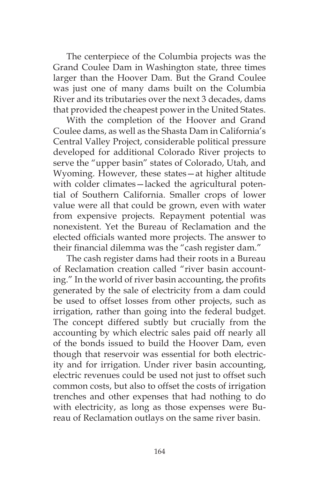The centerpiece of the Columbia projects was the Grand Coulee Dam in Washington state, three times larger than the Hoover Dam. But the Grand Coulee was just one of many dams built on the Columbia River and its tributaries over the next 3 decades, dams that provided the cheapest power in the United States.

With the completion of the Hoover and Grand Coulee dams, as well as the Shasta Dam in California's Central Valley Project, considerable political pressure developed for additional Colorado River projects to serve the "upper basin" states of Colorado, Utah, and Wyoming. However, these states—at higher altitude with colder climates—lacked the agricultural potential of Southern California. Smaller crops of lower value were all that could be grown, even with water from expensive projects. Repayment potential was nonexistent. Yet the Bureau of Reclamation and the elected officials wanted more projects. The answer to their financial dilemma was the "cash register dam."

The cash register dams had their roots in a Bureau of Reclamation creation called "river basin accounting." In the world of river basin accounting, the profits generated by the sale of electricity from a dam could be used to offset losses from other projects, such as irrigation, rather than going into the federal budget. The concept differed subtly but crucially from the accounting by which electric sales paid off nearly all of the bonds issued to build the Hoover Dam, even though that reservoir was essential for both electricity and for irrigation. Under river basin accounting, electric revenues could be used not just to offset such common costs, but also to offset the costs of irrigation trenches and other expenses that had nothing to do with electricity, as long as those expenses were Bureau of Reclamation outlays on the same river basin.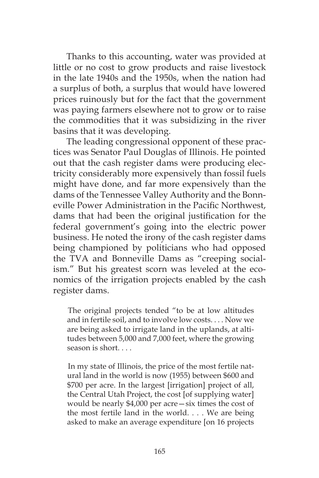Thanks to this accounting, water was provided at little or no cost to grow products and raise livestock in the late 1940s and the 1950s, when the nation had a surplus of both, a surplus that would have lowered prices ruinously but for the fact that the government was paying farmers elsewhere not to grow or to raise the commodities that it was subsidizing in the river basins that it was developing.

The leading congressional opponent of these practices was Senator Paul Douglas of Illinois. He pointed out that the cash register dams were producing electricity considerably more expensively than fossil fuels might have done, and far more expensively than the dams of the Tennessee Valley Authority and the Bonneville Power Administration in the Pacific Northwest, dams that had been the original justification for the federal government's going into the electric power business. He noted the irony of the cash register dams being championed by politicians who had opposed the TVA and Bonneville Dams as "creeping socialism." But his greatest scorn was leveled at the economics of the irrigation projects enabled by the cash register dams.

The original projects tended "to be at low altitudes and in fertile soil, and to involve low costs. . . . Now we are being asked to irrigate land in the uplands, at altitudes between 5,000 and 7,000 feet, where the growing season is short. . . .

In my state of Illinois, the price of the most fertile natural land in the world is now (1955) between \$600 and \$700 per acre. In the largest [irrigation] project of all, the Central Utah Project, the cost [of supplying water] would be nearly \$4,000 per acre—six times the cost of the most fertile land in the world. . . . We are being asked to make an average expenditure [on 16 projects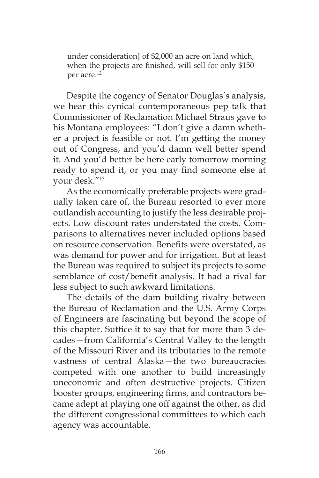under consideration] of \$2,000 an acre on land which, when the projects are finished, will sell for only \$150 per acre.12

Despite the cogency of Senator Douglas's analysis, we hear this cynical contemporaneous pep talk that Commissioner of Reclamation Michael Straus gave to his Montana employees: "I don't give a damn whether a project is feasible or not. I'm getting the money out of Congress, and you'd damn well better spend it. And you'd better be here early tomorrow morning ready to spend it, or you may find someone else at your desk."13

As the economically preferable projects were gradually taken care of, the Bureau resorted to ever more outlandish accounting to justify the less desirable projects. Low discount rates understated the costs. Comparisons to alternatives never included options based on resource conservation. Benefits were overstated, as was demand for power and for irrigation. But at least the Bureau was required to subject its projects to some semblance of cost/benefit analysis. It had a rival far less subject to such awkward limitations.

The details of the dam building rivalry between the Bureau of Reclamation and the U.S. Army Corps of Engineers are fascinating but beyond the scope of this chapter. Suffice it to say that for more than 3 decades—from California's Central Valley to the length of the Missouri River and its tributaries to the remote vastness of central Alaska—the two bureaucracies competed with one another to build increasingly uneconomic and often destructive projects. Citizen booster groups, engineering firms, and contractors became adept at playing one off against the other, as did the different congressional committees to which each agency was accountable.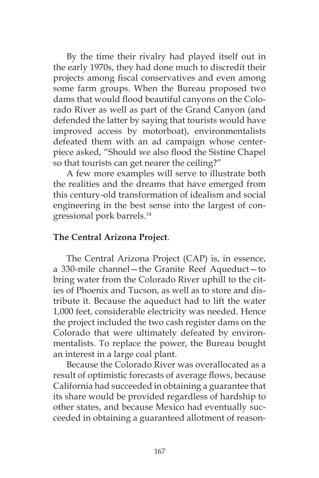By the time their rivalry had played itself out in the early 1970s, they had done much to discredit their projects among fiscal conservatives and even among some farm groups. When the Bureau proposed two dams that would flood beautiful canyons on the Colorado River as well as part of the Grand Canyon (and defended the latter by saying that tourists would have improved access by motorboat), environmentalists defeated them with an ad campaign whose centerpiece asked, "Should we also flood the Sistine Chapel so that tourists can get nearer the ceiling?"

A few more examples will serve to illustrate both the realities and the dreams that have emerged from this century-old transformation of idealism and social engineering in the best sense into the largest of congressional pork barrels.14

# **The Central Arizona Project**.

The Central Arizona Project (CAP) is, in essence, a 330-mile channel—the Granite Reef Aqueduct—to bring water from the Colorado River uphill to the cities of Phoenix and Tucson, as well as to store and distribute it. Because the aqueduct had to lift the water 1,000 feet, considerable electricity was needed. Hence the project included the two cash register dams on the Colorado that were ultimately defeated by environmentalists. To replace the power, the Bureau bought an interest in a large coal plant.

Because the Colorado River was overallocated as a result of optimistic forecasts of average flows, because California had succeeded in obtaining a guarantee that its share would be provided regardless of hardship to other states, and because Mexico had eventually succeeded in obtaining a guaranteed allotment of reason-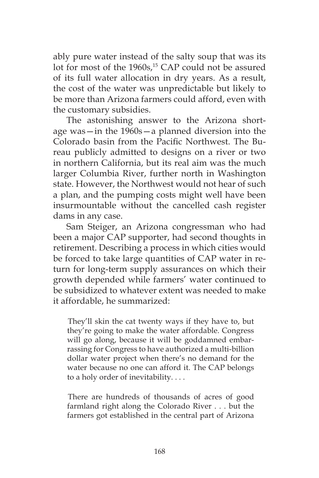ably pure water instead of the salty soup that was its lot for most of the 1960s,<sup>15</sup> CAP could not be assured of its full water allocation in dry years. As a result, the cost of the water was unpredictable but likely to be more than Arizona farmers could afford, even with the customary subsidies.

The astonishing answer to the Arizona shortage was—in the 1960s—a planned diversion into the Colorado basin from the Pacific Northwest. The Bureau publicly admitted to designs on a river or two in northern California, but its real aim was the much larger Columbia River, further north in Washington state. However, the Northwest would not hear of such a plan, and the pumping costs might well have been insurmountable without the cancelled cash register dams in any case.

Sam Steiger, an Arizona congressman who had been a major CAP supporter, had second thoughts in retirement. Describing a process in which cities would be forced to take large quantities of CAP water in return for long-term supply assurances on which their growth depended while farmers' water continued to be subsidized to whatever extent was needed to make it affordable, he summarized:

They'll skin the cat twenty ways if they have to, but they're going to make the water affordable. Congress will go along, because it will be goddamned embarrassing for Congress to have authorized a multi-billion dollar water project when there's no demand for the water because no one can afford it. The CAP belongs to a holy order of inevitability. . . .

There are hundreds of thousands of acres of good farmland right along the Colorado River . . . but the farmers got established in the central part of Arizona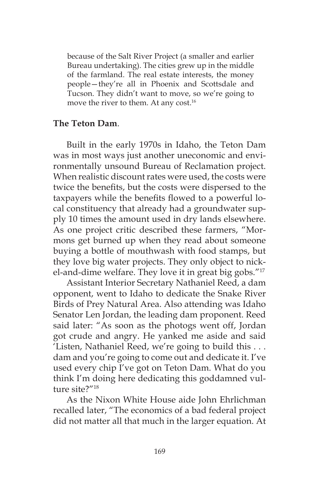because of the Salt River Project (a smaller and earlier Bureau undertaking). The cities grew up in the middle of the farmland. The real estate interests, the money people—they're all in Phoenix and Scottsdale and Tucson. They didn't want to move, so we're going to move the river to them. At any cost.<sup>16</sup>

### **The Teton Dam**.

Built in the early 1970s in Idaho, the Teton Dam was in most ways just another uneconomic and environmentally unsound Bureau of Reclamation project. When realistic discount rates were used, the costs were twice the benefits, but the costs were dispersed to the taxpayers while the benefits flowed to a powerful local constituency that already had a groundwater supply 10 times the amount used in dry lands elsewhere. As one project critic described these farmers, "Mormons get burned up when they read about someone buying a bottle of mouthwash with food stamps, but they love big water projects. They only object to nickel-and-dime welfare. They love it in great big gobs."17

Assistant Interior Secretary Nathaniel Reed, a dam opponent, went to Idaho to dedicate the Snake River Birds of Prey Natural Area. Also attending was Idaho Senator Len Jordan, the leading dam proponent. Reed said later: "As soon as the photogs went off, Jordan got crude and angry. He yanked me aside and said 'Listen, Nathaniel Reed, we're going to build this . . . dam and you're going to come out and dedicate it. I've used every chip I've got on Teton Dam. What do you think I'm doing here dedicating this goddamned vulture site?"18

As the Nixon White House aide John Ehrlichman recalled later, "The economics of a bad federal project did not matter all that much in the larger equation. At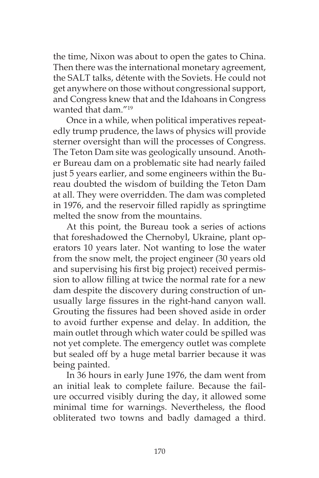the time, Nixon was about to open the gates to China. Then there was the international monetary agreement, the SALT talks, détente with the Soviets. He could not get anywhere on those without congressional support, and Congress knew that and the Idahoans in Congress wanted that dam."19

Once in a while, when political imperatives repeatedly trump prudence, the laws of physics will provide sterner oversight than will the processes of Congress. The Teton Dam site was geologically unsound. Another Bureau dam on a problematic site had nearly failed just 5 years earlier, and some engineers within the Bureau doubted the wisdom of building the Teton Dam at all. They were overridden. The dam was completed in 1976, and the reservoir filled rapidly as springtime melted the snow from the mountains.

At this point, the Bureau took a series of actions that foreshadowed the Chernobyl, Ukraine, plant operators 10 years later. Not wanting to lose the water from the snow melt, the project engineer (30 years old and supervising his first big project) received permission to allow filling at twice the normal rate for a new dam despite the discovery during construction of unusually large fissures in the right-hand canyon wall. Grouting the fissures had been shoved aside in order to avoid further expense and delay. In addition, the main outlet through which water could be spilled was not yet complete. The emergency outlet was complete but sealed off by a huge metal barrier because it was being painted.

In 36 hours in early June 1976, the dam went from an initial leak to complete failure. Because the failure occurred visibly during the day, it allowed some minimal time for warnings. Nevertheless, the flood obliterated two towns and badly damaged a third.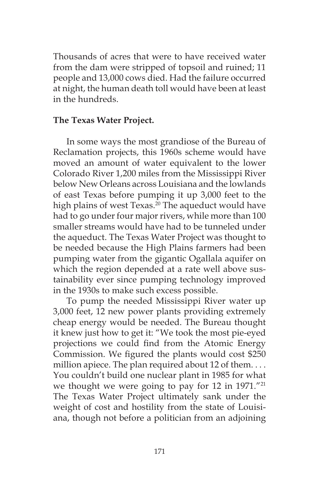Thousands of acres that were to have received water from the dam were stripped of topsoil and ruined; 11 people and 13,000 cows died. Had the failure occurred at night, the human death toll would have been at least in the hundreds.

### **The Texas Water Project.**

In some ways the most grandiose of the Bureau of Reclamation projects, this 1960s scheme would have moved an amount of water equivalent to the lower Colorado River 1,200 miles from the Mississippi River below New Orleans across Louisiana and the lowlands of east Texas before pumping it up 3,000 feet to the high plains of west Texas.<sup>20</sup> The aqueduct would have had to go under four major rivers, while more than 100 smaller streams would have had to be tunneled under the aqueduct. The Texas Water Project was thought to be needed because the High Plains farmers had been pumping water from the gigantic Ogallala aquifer on which the region depended at a rate well above sustainability ever since pumping technology improved in the 1930s to make such excess possible.

To pump the needed Mississippi River water up 3,000 feet, 12 new power plants providing extremely cheap energy would be needed. The Bureau thought it knew just how to get it: "We took the most pie-eyed projections we could find from the Atomic Energy Commission. We figured the plants would cost \$250 million apiece. The plan required about 12 of them.... You couldn't build one nuclear plant in 1985 for what we thought we were going to pay for 12 in 1971."<sup>21</sup> The Texas Water Project ultimately sank under the weight of cost and hostility from the state of Louisiana, though not before a politician from an adjoining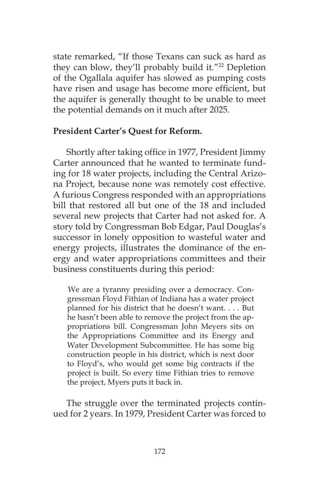state remarked, "If those Texans can suck as hard as they can blow, they'll probably build it."<sup>22</sup> Depletion of the Ogallala aquifer has slowed as pumping costs have risen and usage has become more efficient, but the aquifer is generally thought to be unable to meet the potential demands on it much after 2025.

## **President Carter's Quest for Reform.**

Shortly after taking office in 1977, President Jimmy Carter announced that he wanted to terminate funding for 18 water projects, including the Central Arizona Project, because none was remotely cost effective. A furious Congress responded with an appropriations bill that restored all but one of the 18 and included several new projects that Carter had not asked for. A story told by Congressman Bob Edgar, Paul Douglas's successor in lonely opposition to wasteful water and energy projects, illustrates the dominance of the energy and water appropriations committees and their business constituents during this period:

We are a tyranny presiding over a democracy. Congressman Floyd Fithian of Indiana has a water project planned for his district that he doesn't want. . . . But he hasn't been able to remove the project from the appropriations bill. Congressman John Meyers sits on the Appropriations Committee and its Energy and Water Development Subcommittee. He has some big construction people in his district, which is next door to Floyd's, who would get some big contracts if the project is built. So every time Fithian tries to remove the project, Myers puts it back in.

The struggle over the terminated projects continued for 2 years. In 1979, President Carter was forced to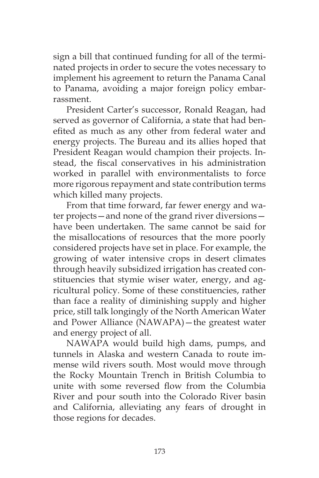sign a bill that continued funding for all of the terminated projects in order to secure the votes necessary to implement his agreement to return the Panama Canal to Panama, avoiding a major foreign policy embarrassment.

President Carter's successor, Ronald Reagan, had served as governor of California, a state that had benefited as much as any other from federal water and energy projects. The Bureau and its allies hoped that President Reagan would champion their projects. Instead, the fiscal conservatives in his administration worked in parallel with environmentalists to force more rigorous repayment and state contribution terms which killed many projects.

From that time forward, far fewer energy and water projects—and none of the grand river diversions have been undertaken. The same cannot be said for the misallocations of resources that the more poorly considered projects have set in place. For example, the growing of water intensive crops in desert climates through heavily subsidized irrigation has created constituencies that stymie wiser water, energy, and agricultural policy. Some of these constituencies, rather than face a reality of diminishing supply and higher price, still talk longingly of the North American Water and Power Alliance (NAWAPA)—the greatest water and energy project of all.

NAWAPA would build high dams, pumps, and tunnels in Alaska and western Canada to route immense wild rivers south. Most would move through the Rocky Mountain Trench in British Columbia to unite with some reversed flow from the Columbia River and pour south into the Colorado River basin and California, alleviating any fears of drought in those regions for decades.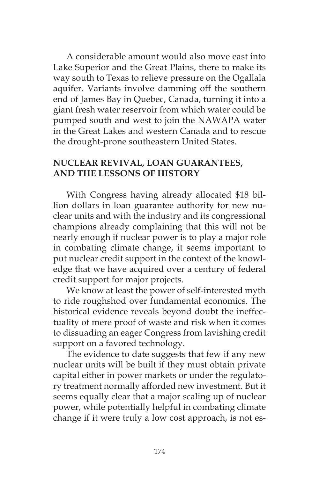A considerable amount would also move east into Lake Superior and the Great Plains, there to make its way south to Texas to relieve pressure on the Ogallala aquifer. Variants involve damming off the southern end of James Bay in Quebec, Canada, turning it into a giant fresh water reservoir from which water could be pumped south and west to join the NAWAPA water in the Great Lakes and western Canada and to rescue the drought-prone southeastern United States.

### **NUCLEAR REVIVAL, LOAN GUARANTEES, AND THE LESSONS OF HISTORY**

With Congress having already allocated \$18 billion dollars in loan guarantee authority for new nuclear units and with the industry and its congressional champions already complaining that this will not be nearly enough if nuclear power is to play a major role in combating climate change, it seems important to put nuclear credit support in the context of the knowledge that we have acquired over a century of federal credit support for major projects.

We know at least the power of self-interested myth to ride roughshod over fundamental economics. The historical evidence reveals beyond doubt the ineffectuality of mere proof of waste and risk when it comes to dissuading an eager Congress from lavishing credit support on a favored technology.

The evidence to date suggests that few if any new nuclear units will be built if they must obtain private capital either in power markets or under the regulatory treatment normally afforded new investment. But it seems equally clear that a major scaling up of nuclear power, while potentially helpful in combating climate change if it were truly a low cost approach, is not es-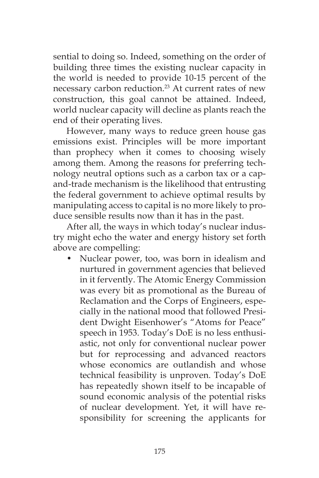sential to doing so. Indeed, something on the order of building three times the existing nuclear capacity in the world is needed to provide 10-15 percent of the necessary carbon reduction.<sup>23</sup> At current rates of new construction, this goal cannot be attained. Indeed, world nuclear capacity will decline as plants reach the end of their operating lives.

However, many ways to reduce green house gas emissions exist. Principles will be more important than prophecy when it comes to choosing wisely among them. Among the reasons for preferring technology neutral options such as a carbon tax or a capand-trade mechanism is the likelihood that entrusting the federal government to achieve optimal results by manipulating access to capital is no more likely to produce sensible results now than it has in the past.

After all, the ways in which today's nuclear industry might echo the water and energy history set forth above are compelling:

• Nuclear power, too, was born in idealism and nurtured in government agencies that believed in it fervently. The Atomic Energy Commission was every bit as promotional as the Bureau of Reclamation and the Corps of Engineers, especially in the national mood that followed President Dwight Eisenhower's "Atoms for Peace" speech in 1953. Today's DoE is no less enthusiastic, not only for conventional nuclear power but for reprocessing and advanced reactors whose economics are outlandish and whose technical feasibility is unproven. Today's DoE has repeatedly shown itself to be incapable of sound economic analysis of the potential risks of nuclear development. Yet, it will have responsibility for screening the applicants for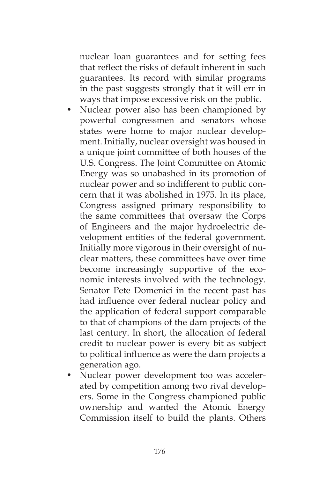nuclear loan guarantees and for setting fees that reflect the risks of default inherent in such guarantees. Its record with similar programs in the past suggests strongly that it will err in ways that impose excessive risk on the public.

- Nuclear power also has been championed by powerful congressmen and senators whose states were home to major nuclear development. Initially, nuclear oversight was housed in a unique joint committee of both houses of the U.S. Congress. The Joint Committee on Atomic Energy was so unabashed in its promotion of nuclear power and so indifferent to public concern that it was abolished in 1975. In its place, Congress assigned primary responsibility to the same committees that oversaw the Corps of Engineers and the major hydroelectric development entities of the federal government. Initially more vigorous in their oversight of nuclear matters, these committees have over time become increasingly supportive of the economic interests involved with the technology. Senator Pete Domenici in the recent past has had influence over federal nuclear policy and the application of federal support comparable to that of champions of the dam projects of the last century. In short, the allocation of federal credit to nuclear power is every bit as subject to political influence as were the dam projects a generation ago.
- Nuclear power development too was accelerated by competition among two rival developers. Some in the Congress championed public ownership and wanted the Atomic Energy Commission itself to build the plants. Others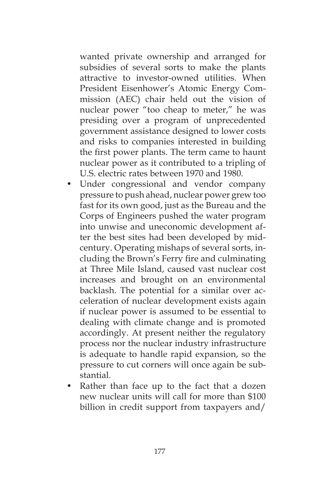wanted private ownership and arranged for subsidies of several sorts to make the plants attractive to investor-owned utilities. When President Eisenhower's Atomic Energy Commission (AEC) chair held out the vision of nuclear power "too cheap to meter," he was presiding over a program of unprecedented government assistance designed to lower costs and risks to companies interested in building the first power plants. The term came to haunt nuclear power as it contributed to a tripling of U.S. electric rates between 1970 and 1980.

- Under congressional and vendor company pressure to push ahead, nuclear power grew too fast for its own good, just as the Bureau and the Corps of Engineers pushed the water program into unwise and uneconomic development after the best sites had been developed by midcentury. Operating mishaps of several sorts, including the Brown's Ferry fire and culminating at Three Mile Island, caused vast nuclear cost increases and brought on an environmental backlash. The potential for a similar over acceleration of nuclear development exists again if nuclear power is assumed to be essential to dealing with climate change and is promoted accordingly. At present neither the regulatory process nor the nuclear industry infrastructure is adequate to handle rapid expansion, so the pressure to cut corners will once again be substantial.
- Rather than face up to the fact that a dozen new nuclear units will call for more than \$100 billion in credit support from taxpayers and/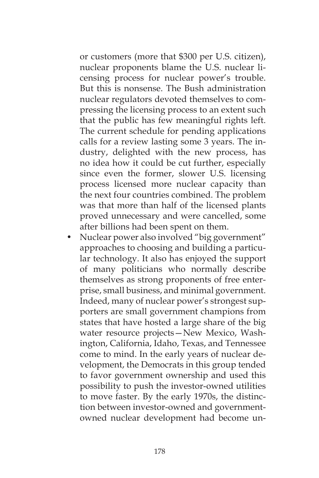or customers (more that \$300 per U.S. citizen), nuclear proponents blame the U.S. nuclear licensing process for nuclear power's trouble. But this is nonsense. The Bush administration nuclear regulators devoted themselves to compressing the licensing process to an extent such that the public has few meaningful rights left. The current schedule for pending applications calls for a review lasting some 3 years. The industry, delighted with the new process, has no idea how it could be cut further, especially since even the former, slower U.S. licensing process licensed more nuclear capacity than the next four countries combined. The problem was that more than half of the licensed plants proved unnecessary and were cancelled, some after billions had been spent on them.

• Nuclear power also involved "big government" approaches to choosing and building a particular technology. It also has enjoyed the support of many politicians who normally describe themselves as strong proponents of free enterprise, small business, and minimal government. Indeed, many of nuclear power's strongest supporters are small government champions from states that have hosted a large share of the big water resource projects—New Mexico, Washington, California, Idaho, Texas, and Tennessee come to mind. In the early years of nuclear development, the Democrats in this group tended to favor government ownership and used this possibility to push the investor-owned utilities to move faster. By the early 1970s, the distinction between investor-owned and governmentowned nuclear development had become un-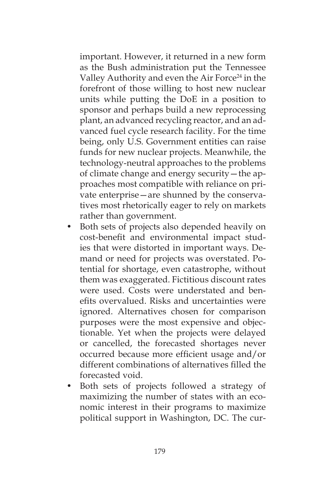important. However, it returned in a new form as the Bush administration put the Tennessee Valley Authority and even the Air Force<sup>24</sup> in the forefront of those willing to host new nuclear units while putting the DoE in a position to sponsor and perhaps build a new reprocessing plant, an advanced recycling reactor, and an advanced fuel cycle research facility. For the time being, only U.S. Government entities can raise funds for new nuclear projects. Meanwhile, the technology-neutral approaches to the problems of climate change and energy security—the approaches most compatible with reliance on private enterprise—are shunned by the conservatives most rhetorically eager to rely on markets rather than government.

- Both sets of projects also depended heavily on cost-benefit and environmental impact studies that were distorted in important ways. Demand or need for projects was overstated. Potential for shortage, even catastrophe, without them was exaggerated. Fictitious discount rates were used. Costs were understated and benefits overvalued. Risks and uncertainties were ignored. Alternatives chosen for comparison purposes were the most expensive and objectionable. Yet when the projects were delayed or cancelled, the forecasted shortages never occurred because more efficient usage and/or different combinations of alternatives filled the forecasted void.
- Both sets of projects followed a strategy of maximizing the number of states with an economic interest in their programs to maximize political support in Washington, DC. The cur-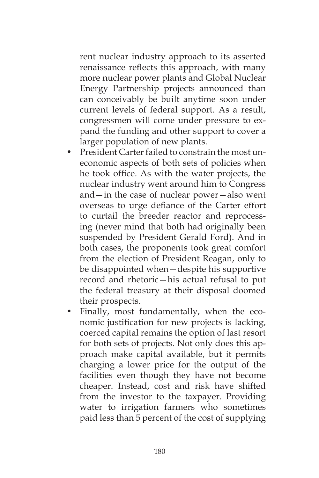rent nuclear industry approach to its asserted renaissance reflects this approach, with many more nuclear power plants and Global Nuclear Energy Partnership projects announced than can conceivably be built anytime soon under current levels of federal support. As a result, congressmen will come under pressure to expand the funding and other support to cover a larger population of new plants.

- President Carter failed to constrain the most uneconomic aspects of both sets of policies when he took office. As with the water projects, the nuclear industry went around him to Congress and—in the case of nuclear power—also went overseas to urge defiance of the Carter effort to curtail the breeder reactor and reprocessing (never mind that both had originally been suspended by President Gerald Ford). And in both cases, the proponents took great comfort from the election of President Reagan, only to be disappointed when—despite his supportive record and rhetoric—his actual refusal to put the federal treasury at their disposal doomed their prospects.
- Finally, most fundamentally, when the economic justification for new projects is lacking, coerced capital remains the option of last resort for both sets of projects. Not only does this approach make capital available, but it permits charging a lower price for the output of the facilities even though they have not become cheaper. Instead, cost and risk have shifted from the investor to the taxpayer. Providing water to irrigation farmers who sometimes paid less than 5 percent of the cost of supplying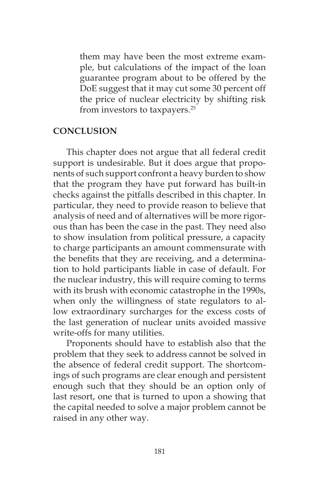them may have been the most extreme example, but calculations of the impact of the loan guarantee program about to be offered by the DoE suggest that it may cut some 30 percent off the price of nuclear electricity by shifting risk from investors to taxpayers.25

#### **CONCLUSION**

This chapter does not argue that all federal credit support is undesirable. But it does argue that proponents of such support confront a heavy burden to show that the program they have put forward has built-in checks against the pitfalls described in this chapter. In particular, they need to provide reason to believe that analysis of need and of alternatives will be more rigorous than has been the case in the past. They need also to show insulation from political pressure, a capacity to charge participants an amount commensurate with the benefits that they are receiving, and a determination to hold participants liable in case of default. For the nuclear industry, this will require coming to terms with its brush with economic catastrophe in the 1990s, when only the willingness of state regulators to allow extraordinary surcharges for the excess costs of the last generation of nuclear units avoided massive write-offs for many utilities.

Proponents should have to establish also that the problem that they seek to address cannot be solved in the absence of federal credit support. The shortcomings of such programs are clear enough and persistent enough such that they should be an option only of last resort, one that is turned to upon a showing that the capital needed to solve a major problem cannot be raised in any other way.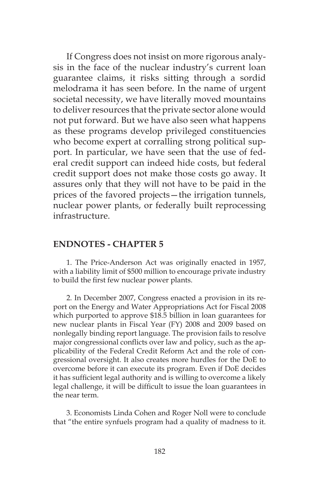If Congress does not insist on more rigorous analysis in the face of the nuclear industry's current loan guarantee claims, it risks sitting through a sordid melodrama it has seen before. In the name of urgent societal necessity, we have literally moved mountains to deliver resources that the private sector alone would not put forward. But we have also seen what happens as these programs develop privileged constituencies who become expert at corralling strong political support. In particular, we have seen that the use of federal credit support can indeed hide costs, but federal credit support does not make those costs go away. It assures only that they will not have to be paid in the prices of the favored projects—the irrigation tunnels, nuclear power plants, or federally built reprocessing infrastructure.

#### **ENDNOTES - CHAPTER 5**

1. The Price-Anderson Act was originally enacted in 1957, with a liability limit of \$500 million to encourage private industry to build the first few nuclear power plants.

2. In December 2007, Congress enacted a provision in its report on the Energy and Water Appropriations Act for Fiscal 2008 which purported to approve \$18.5 billion in loan guarantees for new nuclear plants in Fiscal Year (FY) 2008 and 2009 based on nonlegally binding report language. The provision fails to resolve major congressional conflicts over law and policy, such as the applicability of the Federal Credit Reform Act and the role of congressional oversight. It also creates more hurdles for the DoE to overcome before it can execute its program. Even if DoE decides it has sufficient legal authority and is willing to overcome a likely legal challenge, it will be difficult to issue the loan guarantees in the near term.

3. Economists Linda Cohen and Roger Noll were to conclude that "the entire synfuels program had a quality of madness to it.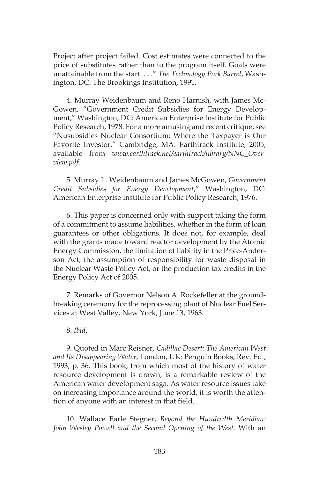Project after project failed. Cost estimates were connected to the price of substitutes rather than to the program itself. Goals were unattainable from the start. . . ." *The Technology Pork Barrel*, Washington, DC: The Brookings Institution, 1991.

4. Murray Weidenbaum and Reno Harnish, with James Mc-Gowen, "Government Credit Subsidies for Energy Development," Washington, DC: American Enterprise Institute for Public Policy Research, 1978. For a more amusing and recent critique, see "Nusubsidies Nuclear Consortium: Where the Taxpayer is Our Favorite Investor," Cambridge, MA: Earthtrack Institute, 2005, available from *www.earthtrack.net/earthtrack/library/NNC\_Overview.pdf*.

5. Murray L. Weidenbaum and James McGowen, *Government Credit Subsidies for Energy Development*," Washington, DC: American Enterprise Institute for Public Policy Research, 1976.

6. This paper is concerned only with support taking the form of a commitment to assume liabilities, whether in the form of loan guarantees or other obligations. It does not, for example, deal with the grants made toward reactor development by the Atomic Energy Commission, the limitation of liability in the Price-Anderson Act, the assumption of responsibility for waste disposal in the Nuclear Waste Policy Act, or the production tax credits in the Energy Policy Act of 2005.

7. Remarks of Governor Nelson A. Rockefeller at the groundbreaking ceremony for the reprocessing plant of Nuclear Fuel Services at West Valley, New York, June 13, 1963.

8. *Ibid*.

9. Quoted in Marc Reisner, *Cadillac Desert: The American West and Its Disappearing Water*, London, UK: Penguin Books, Rev. Ed., 1993, p. 36. This book, from which most of the history of water resource development is drawn, is a remarkable review of the American water development saga. As water resource issues take on increasing importance around the world, it is worth the attention of anyone with an interest in that field.

10. Wallace Earle Stegner, *Beyond the Hundredth Meridian: John Wesley Powell and the Second Opening of the West*. With an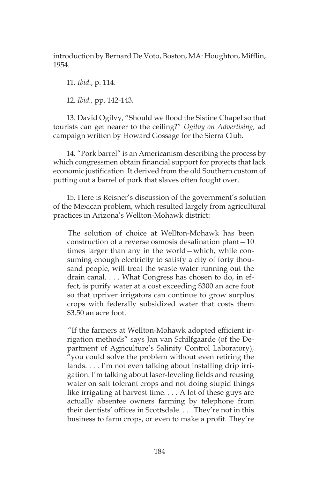introduction by Bernard De Voto, Boston, MA: Houghton, Mifflin, 1954.

11. *Ibid*., p. 114.

12. *Ibid.,* pp. 142-143.

13. David Ogilvy, "Should we flood the Sistine Chapel so that tourists can get nearer to the ceiling?" *Ogilvy on Advertising,* ad campaign written by Howard Gossage for the Sierra Club.

14. "Pork barrel" is an Americanism describing the process by which congressmen obtain financial support for projects that lack economic justification. It derived from the old Southern custom of putting out a barrel of pork that slaves often fought over.

15. Here is Reisner's discussion of the government's solution of the Mexican problem, which resulted largely from agricultural practices in Arizona's Wellton-Mohawk district:

The solution of choice at Wellton-Mohawk has been construction of a reverse osmosis desalination plant—10 times larger than any in the world—which, while consuming enough electricity to satisfy a city of forty thousand people, will treat the waste water running out the drain canal. . . . What Congress has chosen to do, in effect, is purify water at a cost exceeding \$300 an acre foot so that upriver irrigators can continue to grow surplus crops with federally subsidized water that costs them \$3.50 an acre foot.

"If the farmers at Wellton-Mohawk adopted efficient irrigation methods" says Jan van Schilfgaarde (of the Department of Agriculture's Salinity Control Laboratory), "you could solve the problem without even retiring the lands. . . . I'm not even talking about installing drip irrigation. I'm talking about laser-leveling fields and reusing water on salt tolerant crops and not doing stupid things like irrigating at harvest time. . . . A lot of these guys are actually absentee owners farming by telephone from their dentists' offices in Scottsdale. . . . They're not in this business to farm crops, or even to make a profit. They're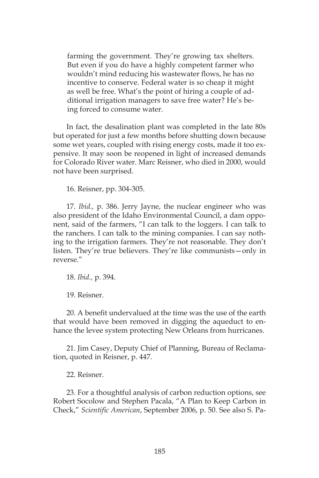farming the government. They're growing tax shelters. But even if you do have a highly competent farmer who wouldn't mind reducing his wastewater flows, he has no incentive to conserve. Federal water is so cheap it might as well be free. What's the point of hiring a couple of additional irrigation managers to save free water? He's being forced to consume water.

In fact, the desalination plant was completed in the late 80s but operated for just a few months before shutting down because some wet years, coupled with rising energy costs, made it too expensive. It may soon be reopened in light of increased demands for Colorado River water. Marc Reisner, who died in 2000, would not have been surprised.

16. Reisner, pp. 304-305.

17. *Ibid.,* p. 386. Jerry Jayne, the nuclear engineer who was also president of the Idaho Environmental Council, a dam opponent, said of the farmers, "I can talk to the loggers. I can talk to the ranchers. I can talk to the mining companies. I can say nothing to the irrigation farmers. They're not reasonable. They don't listen. They're true believers. They're like communists—only in reverse."

18. *Ibid.,* p. 394.

19. Reisner.

20. A benefit undervalued at the time was the use of the earth that would have been removed in digging the aqueduct to enhance the levee system protecting New Orleans from hurricanes.

21. Jim Casey, Deputy Chief of Planning, Bureau of Reclamation, quoted in Reisner, p. 447.

22. Reisner.

23. For a thoughtful analysis of carbon reduction options, see Robert Socolow and Stephen Pacala, "A Plan to Keep Carbon in Check," *Scientific American*, September 2006, p. 50. See also S. Pa